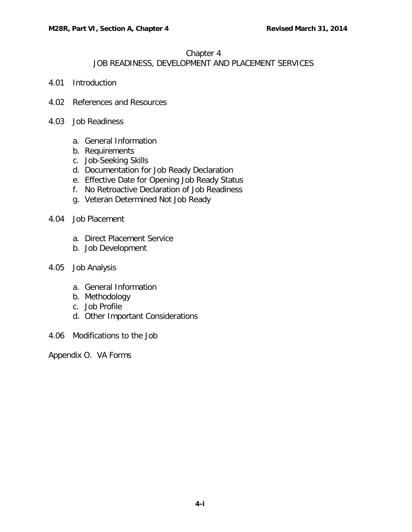#### Chapter 4

### JOB READINESS, DEVELOPMENT AND PLACEMENT SERVICES

- 4.01 [Introduction](#page-1-0)
- 4.02 [References and Resources](#page-1-1)
- 4.03 [Job Readiness](#page-1-2)
	- a. [General Information](#page-1-3)
	- b. [Requirements](#page-2-0)
	- c. [Job-Seeking Skills](#page-2-1)
	- d. [Documentation for Job Ready Declaration](#page-3-0)
	- e. [Effective Date for Opening Job Ready Status](#page-3-1)
	- f. [No Retroactive Declaration of Job Readiness](#page-4-0)
	- g. [Veteran Determined Not Job Ready](#page-4-1)
- 4.04 [Job Placement](#page-4-2)
	- a. [Direct Placement Service](#page-4-3)
	- b. [Job Development](#page-6-0)
- 4.05 [Job Analysis](#page-7-0)
	- a. [General Information](#page-7-1)
	- b. [Methodology](#page-8-0)
	- c. [Job Profile](#page-8-1)
	- d. [Other Important Considerations](#page-9-0)
- 4.06 [Modifications to the](#page-9-1) Job

Appendix O. VA Forms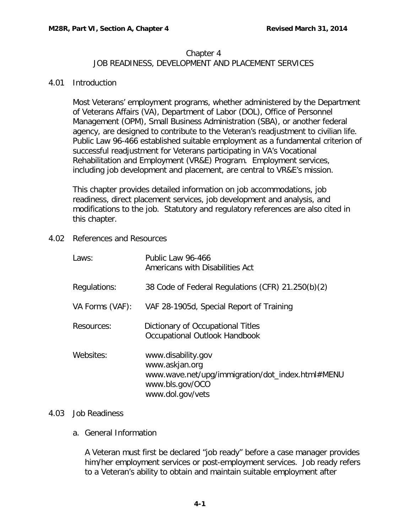# Chapter 4

# JOB READINESS, DEVELOPMENT AND PLACEMENT SERVICES

#### <span id="page-1-0"></span>4.01 Introduction

Most Veterans' employment programs, whether administered by the Department of Veterans Affairs (VA), Department of Labor (DOL), Office of Personnel Management (OPM), Small Business Administration (SBA), or another federal agency, are designed to contribute to the Veteran's readjustment to civilian life. Public Law 96-466 established suitable employment as a fundamental criterion of successful readjustment for Veterans participating in VA's Vocational Rehabilitation and Employment (VR&E) Program. Employment services, including job development and placement, are central to VR&E's mission.

This chapter provides detailed information on job accommodations, job readiness, direct placement services, job development and analysis, and modifications to the job. Statutory and regulatory references are also cited in this chapter.

<span id="page-1-1"></span>4.02 References and Resources

| Laws:           | Public Law 96-466<br>Americans with Disabilities Act                                                                            |
|-----------------|---------------------------------------------------------------------------------------------------------------------------------|
| Regulations:    | 38 Code of Federal Regulations (CFR) 21.250(b)(2)                                                                               |
| VA Forms (VAF): | VAF 28-1905d, Special Report of Training                                                                                        |
| Resources:      | Dictionary of Occupational Titles<br>Occupational Outlook Handbook                                                              |
| Websites:       | www.disability.gov<br>www.askjan.org<br>www.wave.net/upg/immigration/dot_index.html#MENU<br>www.bls.gov/OCO<br>www.dol.gov/vets |

#### <span id="page-1-3"></span><span id="page-1-2"></span>4.03 Job Readiness

a. General Information

A Veteran must first be declared "job ready" before a case manager provides him/her employment services or post-employment services. Job ready refers to a Veteran's ability to obtain and maintain suitable employment after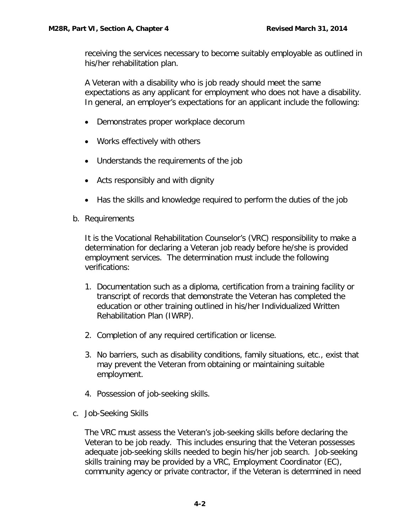receiving the services necessary to become suitably employable as outlined in his/her rehabilitation plan.

A Veteran with a disability who is job ready should meet the same expectations as any applicant for employment who does not have a disability. In general, an employer's expectations for an applicant include the following:

- Demonstrates proper workplace decorum
- Works effectively with others
- Understands the requirements of the job
- Acts responsibly and with dignity
- Has the skills and knowledge required to perform the duties of the job
- <span id="page-2-0"></span>b. Requirements

It is the Vocational Rehabilitation Counselor's (VRC) responsibility to make a determination for declaring a Veteran job ready before he/she is provided employment services. The determination must include the following verifications:

- 1. Documentation such as a diploma, certification from a training facility or transcript of records that demonstrate the Veteran has completed the education or other training outlined in his/her Individualized Written Rehabilitation Plan (IWRP).
- 2. Completion of any required certification or license.
- 3. No barriers, such as disability conditions, family situations, etc., exist that may prevent the Veteran from obtaining or maintaining suitable employment.
- 4. Possession of job-seeking skills.
- <span id="page-2-1"></span>c. Job-Seeking Skills

The VRC must assess the Veteran's job-seeking skills before declaring the Veteran to be job ready. This includes ensuring that the Veteran possesses adequate job-seeking skills needed to begin his/her job search. Job-seeking skills training may be provided by a VRC, Employment Coordinator (EC), community agency or private contractor, if the Veteran is determined in need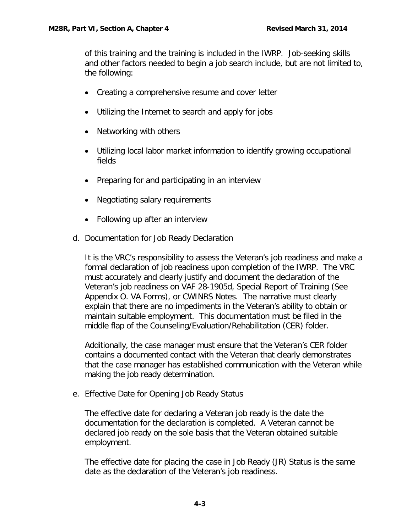of this training and the training is included in the IWRP. Job-seeking skills and other factors needed to begin a job search include, but are not limited to, the following:

- Creating a comprehensive resume and cover letter
- Utilizing the Internet to search and apply for jobs
- Networking with others
- Utilizing local labor market information to identify growing occupational fields
- Preparing for and participating in an interview
- Negotiating salary requirements
- Following up after an interview
- <span id="page-3-0"></span>d. Documentation for Job Ready Declaration

It is the VRC's responsibility to assess the Veteran's job readiness and make a formal declaration of job readiness upon completion of the IWRP. The VRC must accurately and clearly justify and document the declaration of the Veteran's job readiness on VAF 28-1905d, Special Report of Training (See Appendix O. VA Forms), or CWINRS Notes. The narrative must clearly explain that there are no impediments in the Veteran's ability to obtain or maintain suitable employment. This documentation must be filed in the middle flap of the Counseling/Evaluation/Rehabilitation (CER) folder.

Additionally, the case manager must ensure that the Veteran's CER folder contains a documented contact with the Veteran that clearly demonstrates that the case manager has established communication with the Veteran while making the job ready determination.

<span id="page-3-1"></span>e. Effective Date for Opening Job Ready Status

The effective date for declaring a Veteran job ready is the date the documentation for the declaration is completed. A Veteran cannot be declared job ready on the sole basis that the Veteran obtained suitable employment.

The effective date for placing the case in Job Ready (JR) Status is the same date as the declaration of the Veteran's job readiness.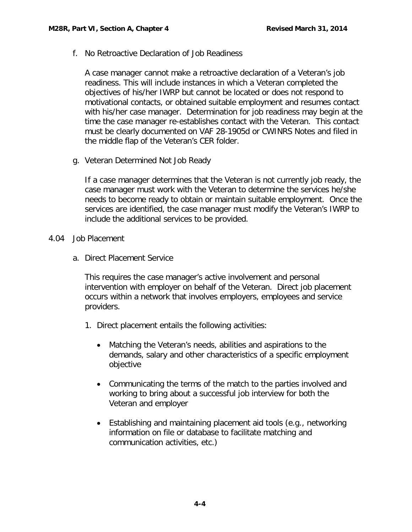<span id="page-4-0"></span>f. No Retroactive Declaration of Job Readiness

A case manager cannot make a retroactive declaration of a Veteran's job readiness. This will include instances in which a Veteran completed the objectives of his/her IWRP but cannot be located or does not respond to motivational contacts, or obtained suitable employment and resumes contact with his/her case manager. Determination for job readiness may begin at the time the case manager re-establishes contact with the Veteran. This contact must be clearly documented on VAF 28-1905d or CWINRS Notes and filed in the middle flap of the Veteran's CER folder.

<span id="page-4-1"></span>g. Veteran Determined Not Job Ready

If a case manager determines that the Veteran is not currently job ready, the case manager must work with the Veteran to determine the services he/she needs to become ready to obtain or maintain suitable employment. Once the services are identified, the case manager must modify the Veteran's IWRP to include the additional services to be provided.

- <span id="page-4-3"></span><span id="page-4-2"></span>4.04 Job Placement
	- a. Direct Placement Service

This requires the case manager's active involvement and personal intervention with employer on behalf of the Veteran. Direct job placement occurs within a network that involves employers, employees and service providers.

- 1. Direct placement entails the following activities:
	- Matching the Veteran's needs, abilities and aspirations to the demands, salary and other characteristics of a specific employment objective
	- Communicating the terms of the match to the parties involved and working to bring about a successful job interview for both the Veteran and employer
	- Establishing and maintaining placement aid tools (e.g., networking information on file or database to facilitate matching and communication activities, etc.)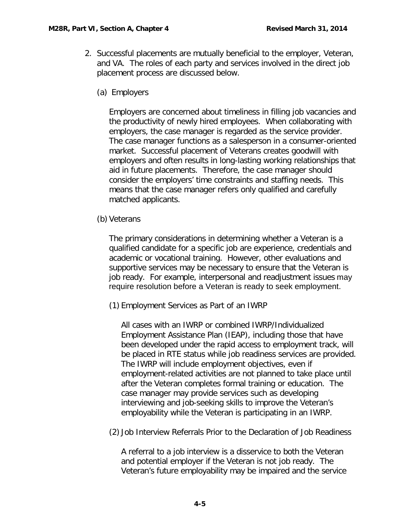- 2. Successful placements are mutually beneficial to the employer, Veteran, and VA. The roles of each party and services involved in the direct job placement process are discussed below.
	- (a) Employers

Employers are concerned about timeliness in filling job vacancies and the productivity of newly hired employees. When collaborating with employers, the case manager is regarded as the service provider. The case manager functions as a salesperson in a consumer-oriented market. Successful placement of Veterans creates goodwill with employers and often results in long-lasting working relationships that aid in future placements. Therefore, the case manager should consider the employers' time constraints and staffing needs. This means that the case manager refers only qualified and carefully matched applicants.

(b) Veterans

The primary considerations in determining whether a Veteran is a qualified candidate for a specific job are experience, credentials and academic or vocational training. However, other evaluations and supportive services may be necessary to ensure that the Veteran is job ready. For example, interpersonal and readjustment issues may require resolution before a Veteran is ready to seek employment.

(1) Employment Services as Part of an IWRP

All cases with an IWRP or combined IWRP/Individualized Employment Assistance Plan (IEAP), including those that have been developed under the rapid access to employment track, will be placed in RTE status while job readiness services are provided. The IWRP will include employment objectives, even if employment-related activities are not planned to take place until after the Veteran completes formal training or education. The case manager may provide services such as developing interviewing and job-seeking skills to improve the Veteran's employability while the Veteran is participating in an IWRP.

(2) Job Interview Referrals Prior to the Declaration of Job Readiness

A referral to a job interview is a disservice to both the Veteran and potential employer if the Veteran is not job ready. The Veteran's future employability may be impaired and the service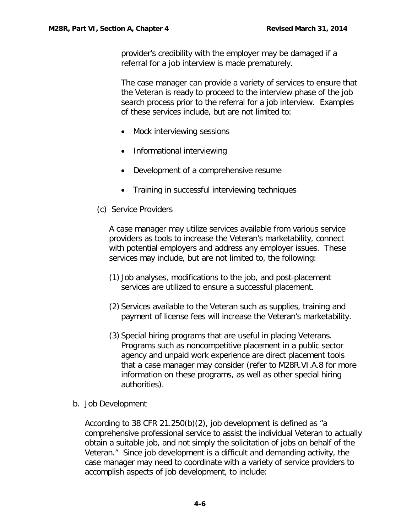provider's credibility with the employer may be damaged if a referral for a job interview is made prematurely.

The case manager can provide a variety of services to ensure that the Veteran is ready to proceed to the interview phase of the job search process prior to the referral for a job interview. Examples of these services include, but are not limited to:

- Mock interviewing sessions
- Informational interviewing
- Development of a comprehensive resume
- Training in successful interviewing techniques
- (c) Service Providers

A case manager may utilize services available from various service providers as tools to increase the Veteran's marketability, connect with potential employers and address any employer issues. These services may include, but are not limited to, the following:

- (1) Job analyses, modifications to the job, and post-placement services are utilized to ensure a successful placement.
- (2) Services available to the Veteran such as supplies, training and payment of license fees will increase the Veteran's marketability.
- (3) Special hiring programs that are useful in placing Veterans. Programs such as noncompetitive placement in a public sector agency and unpaid work experience are direct placement tools that a case manager may consider (refer to M28R.VI.A.8 for more information on these programs, as well as other special hiring authorities).
- <span id="page-6-0"></span>b. Job Development

According to 38 CFR 21.250(b)(2), job development is defined as "a comprehensive professional service to assist the individual Veteran to actually obtain a suitable job, and not simply the solicitation of jobs on behalf of the Veteran." Since job development is a difficult and demanding activity, the case manager may need to coordinate with a variety of service providers to accomplish aspects of job development, to include: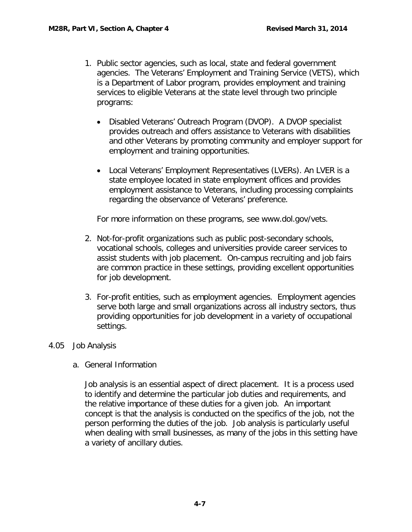- 1. Public sector agencies, such as local, state and federal government agencies. The Veterans' Employment and Training Service (VETS), which is a Department of Labor program, provides employment and training services to eligible Veterans at the state level through two principle programs:
	- Disabled Veterans' Outreach Program (DVOP). A DVOP specialist provides outreach and offers assistance to Veterans with disabilities and other Veterans by promoting community and employer support for employment and training opportunities.
	- Local Veterans' Employment Representatives (LVERs). An LVER is a state employee located in state employment offices and provides employment assistance to Veterans, including processing complaints regarding the observance of Veterans' preference.

For more information on these programs, see www.dol.gov/vets.

- 2. Not-for-profit organizations such as public post-secondary schools, vocational schools, colleges and universities provide career services to assist students with job placement. On-campus recruiting and job fairs are common practice in these settings, providing excellent opportunities for job development.
- 3. For-profit entities, such as employment agencies. Employment agencies serve both large and small organizations across all industry sectors, thus providing opportunities for job development in a variety of occupational settings.

# <span id="page-7-1"></span><span id="page-7-0"></span>4.05 Job Analysis

a. General Information

Job analysis is an essential aspect of direct placement. It is a process used to identify and determine the particular job duties and requirements, and the relative importance of these duties for a given job. An important concept is that the analysis is conducted on the specifics of the job, not the person performing the duties of the job. Job analysis is particularly useful when dealing with small businesses, as many of the jobs in this setting have a variety of ancillary duties.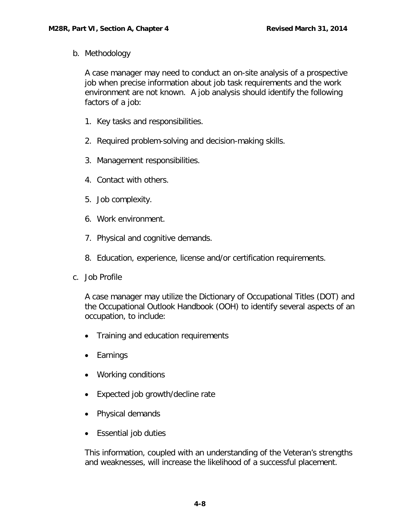<span id="page-8-0"></span>b. Methodology

A case manager may need to conduct an on-site analysis of a prospective job when precise information about job task requirements and the work environment are not known. A job analysis should identify the following factors of a job:

- 1. Key tasks and responsibilities.
- 2. Required problem-solving and decision-making skills.
- 3. Management responsibilities.
- 4. Contact with others.
- 5. Job complexity.
- 6. Work environment.
- 7. Physical and cognitive demands.
- 8. Education, experience, license and/or certification requirements.
- <span id="page-8-1"></span>c. Job Profile

A case manager may utilize the Dictionary of Occupational Titles (DOT) and the Occupational Outlook Handbook (OOH) to identify several aspects of an occupation, to include:

- Training and education requirements
- Earnings
- Working conditions
- Expected job growth/decline rate
- Physical demands
- Essential job duties

This information, coupled with an understanding of the Veteran's strengths and weaknesses, will increase the likelihood of a successful placement.